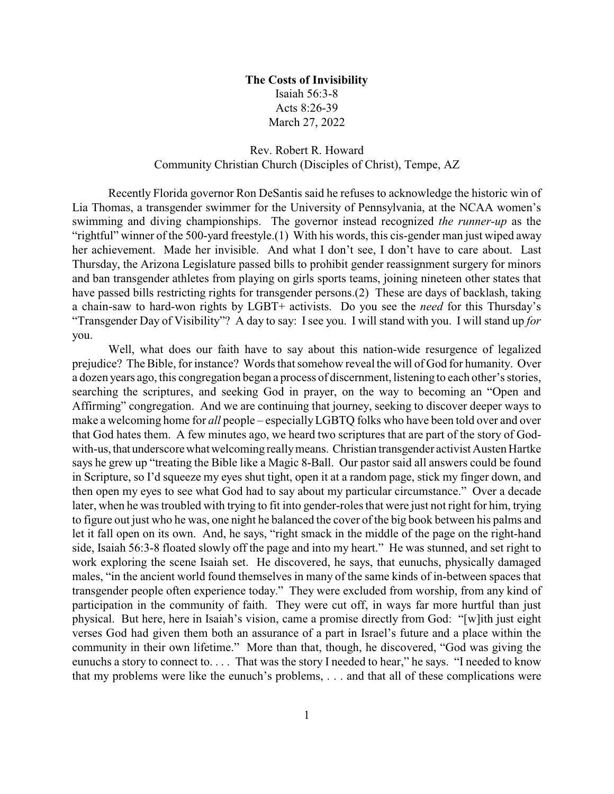## **The Costs of Invisibility** Isaiah 56:3-8 Acts 8:26-39 March 27, 2022

## Rev. Robert R. Howard Community Christian Church (Disciples of Christ), Tempe, AZ

Recently Florida governor Ron DeSantis said he refuses to acknowledge the historic win of Lia Thomas, a transgender swimmer for the University of Pennsylvania, at the NCAA women's swimming and diving championships. The governor instead recognized *the runner-up* as the "rightful" winner of the 500-yard freestyle.(1) With his words, this cis-gender man just wiped away her achievement. Made her invisible. And what I don't see, I don't have to care about. Last Thursday, the Arizona Legislature passed bills to prohibit gender reassignment surgery for minors and ban transgender athletes from playing on girls sports teams, joining nineteen other states that have passed bills restricting rights for transgender persons.(2) These are days of backlash, taking a chain-saw to hard-won rights by LGBT+ activists. Do you see the *need* for this Thursday's "Transgender Day of Visibility"? A day to say: Isee you. I will stand with you. I will stand up *for* you.

Well, what does our faith have to say about this nation-wide resurgence of legalized prejudice? The Bible, for instance? Words that somehow reveal the will of God for humanity. Over a dozen years ago, this congregation began a process of discernment, listening to each other's stories, searching the scriptures, and seeking God in prayer, on the way to becoming an "Open and Affirming" congregation. And we are continuing that journey, seeking to discover deeper ways to make a welcoming home for *all* people – especiallyLGBTQ folks who have been told over and over that God hates them. A few minutes ago, we heard two scriptures that are part of the story of Godwith-us, that underscore what welcoming reallymeans. Christian transgender activist Austen Hartke says he grew up "treating the Bible like a Magic 8-Ball. Our pastor said all answers could be found in Scripture, so I'd squeeze my eyes shut tight, open it at a random page, stick my finger down, and then open my eyes to see what God had to say about my particular circumstance." Over a decade later, when he was troubled with trying to fit into gender-roles that were just not right for him, trying to figure out just who he was, one night he balanced the cover of the big book between his palms and let it fall open on its own. And, he says, "right smack in the middle of the page on the right-hand side, Isaiah 56:3-8 floated slowly off the page and into my heart." He was stunned, and set right to work exploring the scene Isaiah set. He discovered, he says, that eunuchs, physically damaged males, "in the ancient world found themselves in many of the same kinds of in-between spaces that transgender people often experience today." They were excluded from worship, from any kind of participation in the community of faith. They were cut off, in ways far more hurtful than just physical. But here, here in Isaiah's vision, came a promise directly from God: "[w]ith just eight verses God had given them both an assurance of a part in Israel's future and a place within the community in their own lifetime." More than that, though, he discovered, "God was giving the eunuchs a story to connect to. . . . That was the story I needed to hear," he says. "I needed to know that my problems were like the eunuch's problems, . . . and that all of these complications were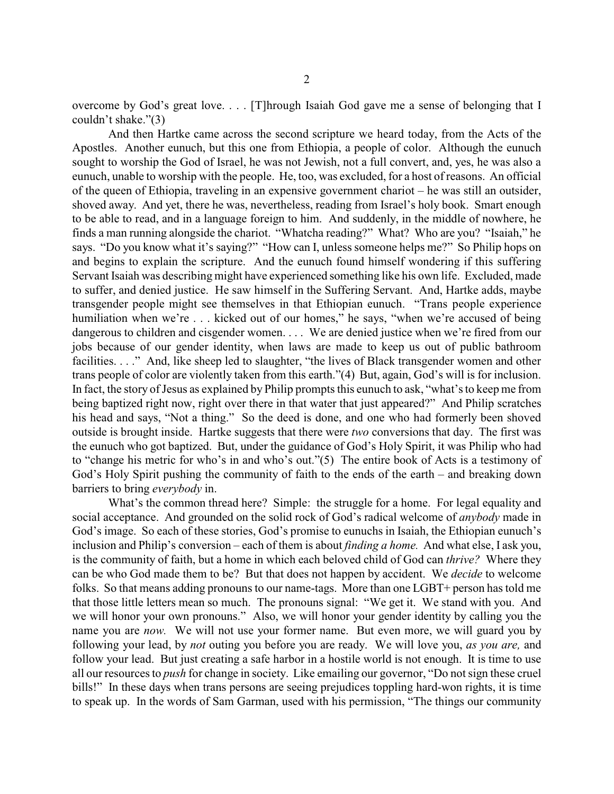overcome by God's great love. . . . [T]hrough Isaiah God gave me a sense of belonging that I couldn't shake."(3)

And then Hartke came across the second scripture we heard today, from the Acts of the Apostles. Another eunuch, but this one from Ethiopia, a people of color. Although the eunuch sought to worship the God of Israel, he was not Jewish, not a full convert, and, yes, he was also a eunuch, unable to worship with the people. He, too, was excluded, for a host of reasons. An official of the queen of Ethiopia, traveling in an expensive government chariot – he was still an outsider, shoved away. And yet, there he was, nevertheless, reading from Israel's holy book. Smart enough to be able to read, and in a language foreign to him. And suddenly, in the middle of nowhere, he finds a man running alongside the chariot. "Whatcha reading?" What? Who are you? "Isaiah," he says. "Do you know what it's saying?" "How can I, unless someone helps me?" So Philip hops on and begins to explain the scripture. And the eunuch found himself wondering if this suffering Servant Isaiah was describing might have experienced something like his own life. Excluded, made to suffer, and denied justice. He saw himself in the Suffering Servant. And, Hartke adds, maybe transgender people might see themselves in that Ethiopian eunuch. "Trans people experience humiliation when we're . . . kicked out of our homes," he says, "when we're accused of being dangerous to children and cisgender women. . . . We are denied justice when we're fired from our jobs because of our gender identity, when laws are made to keep us out of public bathroom facilities. . . ." And, like sheep led to slaughter, "the lives of Black transgender women and other trans people of color are violently taken from this earth."(4) But, again, God's will is for inclusion. In fact, the story of Jesus as explained by Philip prompts this eunuch to ask, "what's to keep me from being baptized right now, right over there in that water that just appeared?" And Philip scratches his head and says, "Not a thing." So the deed is done, and one who had formerly been shoved outside is brought inside. Hartke suggests that there were *two* conversions that day. The first was the eunuch who got baptized. But, under the guidance of God's Holy Spirit, it was Philip who had to "change his metric for who's in and who's out."(5) The entire book of Acts is a testimony of God's Holy Spirit pushing the community of faith to the ends of the earth – and breaking down barriers to bring *everybody* in.

What's the common thread here? Simple: the struggle for a home. For legal equality and social acceptance. And grounded on the solid rock of God's radical welcome of *anybody* made in God's image. So each of these stories, God's promise to eunuchs in Isaiah, the Ethiopian eunuch's inclusion and Philip's conversion – each of them is about *finding a home.* And what else, I ask you, is the community of faith, but a home in which each beloved child of God can *thrive?* Where they can be who God made them to be? But that does not happen by accident. We *decide* to welcome folks. So that means adding pronouns to our name-tags. More than one LGBT+ person has told me that those little letters mean so much. The pronouns signal: "We get it. We stand with you. And we will honor your own pronouns." Also, we will honor your gender identity by calling you the name you are *now.* We will not use your former name. But even more, we will guard you by following your lead, by *not* outing you before you are ready. We will love you, *as you are,* and follow your lead. But just creating a safe harbor in a hostile world is not enough. It is time to use all our resources to *push* for change in society. Like emailing our governor, "Do not sign these cruel bills!" In these days when trans persons are seeing prejudices toppling hard-won rights, it is time to speak up. In the words of Sam Garman, used with his permission, "The things our community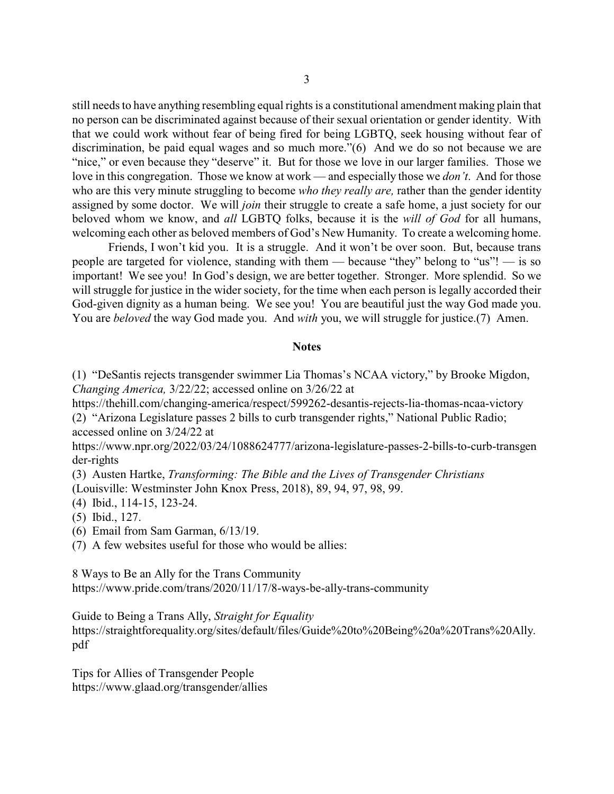still needs to have anything resembling equal rights is a constitutional amendment making plain that no person can be discriminated against because of their sexual orientation or gender identity. With that we could work without fear of being fired for being LGBTQ, seek housing without fear of discrimination, be paid equal wages and so much more."(6) And we do so not because we are "nice," or even because they "deserve" it. But for those we love in our larger families. Those we love in this congregation. Those we know at work — and especially those we *don't*. And for those who are this very minute struggling to become *who they really are,* rather than the gender identity assigned by some doctor. We will *join* their struggle to create a safe home, a just society for our beloved whom we know, and *all* LGBTQ folks, because it is the *will of God* for all humans, welcoming each other as beloved members of God's New Humanity. To create a welcoming home.

Friends, I won't kid you. It is a struggle. And it won't be over soon. But, because trans people are targeted for violence, standing with them — because "they" belong to "us"! — is so important! We see you! In God's design, we are better together. Stronger. More splendid. So we will struggle for justice in the wider society, for the time when each person is legally accorded their God-given dignity as a human being. We see you! You are beautiful just the way God made you. You are *beloved* the way God made you. And *with* you, we will struggle for justice.(7) Amen.

## **Notes**

(1) "DeSantis rejects transgender swimmer Lia Thomas's NCAA victory," by Brooke Migdon, *Changing America,* 3/22/22; accessed online on 3/26/22 at

https://thehill.com/changing-america/respect/599262-desantis-rejects-lia-thomas-ncaa-victory (2) "Arizona Legislature passes 2 bills to curb transgender rights," National Public Radio;

accessed online on 3/24/22 at

https://www.npr.org/2022/03/24/1088624777/arizona-legislature-passes-2-bills-to-curb-transgen der-rights

(3) Austen Hartke, *Transforming: The Bible and the Lives of Transgender Christians* (Louisville: Westminster John Knox Press, 2018), 89, 94, 97, 98, 99.

(4) Ibid., 114-15, 123-24.

(5) Ibid., 127.

(6) Email from Sam Garman, 6/13/19.

(7) A few websites useful for those who would be allies:

8 Ways to Be an Ally for the Trans Community https://www.pride.com/trans/2020/11/17/8-ways-be-ally-trans-community

Guide to Being a Trans Ally, *Straight for Equality* https://straightforequality.org/sites/default/files/Guide%20to%20Being%20a%20Trans%20Ally. pdf

Tips for Allies of Transgender People https://www.glaad.org/transgender/allies